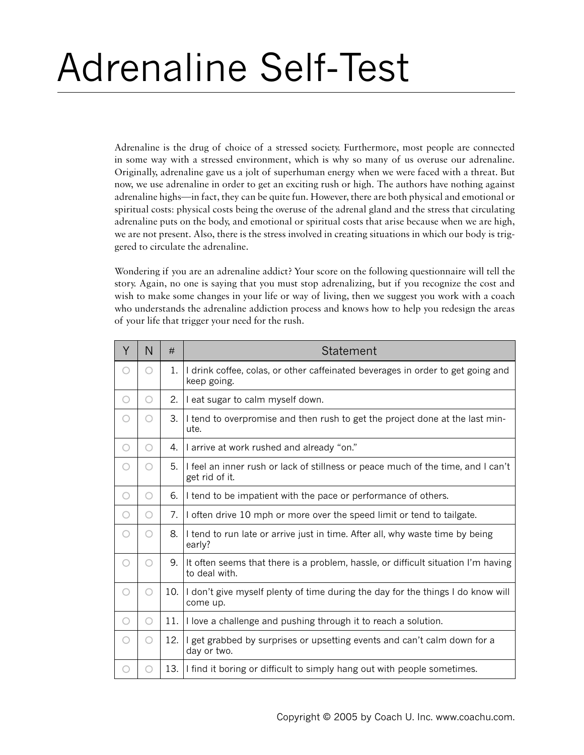## Adrenaline Self-Test

Adrenaline is the drug of choice of a stressed society. Furthermore, most people are connected in some way with a stressed environment, which is why so many of us overuse our adrenaline. Originally, adrenaline gave us a jolt of superhuman energy when we were faced with a threat. But now, we use adrenaline in order to get an exciting rush or high. The authors have nothing against adrenaline highs—in fact, they can be quite fun. However, there are both physical and emotional or spiritual costs: physical costs being the overuse of the adrenal gland and the stress that circulating adrenaline puts on the body, and emotional or spiritual costs that arise because when we are high, we are not present. Also, there is the stress involved in creating situations in which our body is triggered to circulate the adrenaline.

Wondering if you are an adrenaline addict? Your score on the following questionnaire will tell the story. Again, no one is saying that you must stop adrenalizing, but if you recognize the cost and wish to make some changes in your life or way of living, then we suggest you work with a coach who understands the adrenaline addiction process and knows how to help you redesign the areas of your life that trigger your need for the rush.

| Y | N | #           | <b>Statement</b>                                                                                   |
|---|---|-------------|----------------------------------------------------------------------------------------------------|
|   | O | $1_{\cdot}$ | I drink coffee, colas, or other caffeinated beverages in order to get going and<br>keep going.     |
| ∩ | O | 2.          | I eat sugar to calm myself down.                                                                   |
| ∩ | O | 3.          | I tend to overpromise and then rush to get the project done at the last min-<br>ute.               |
| О | Ο | 4.          | I arrive at work rushed and already "on."                                                          |
|   | ○ | 5.          | I feel an inner rush or lack of stillness or peace much of the time, and I can't<br>get rid of it. |
| О | O | 6.          | I tend to be impatient with the pace or performance of others.                                     |
| Ο | O | 7.          | I often drive 10 mph or more over the speed limit or tend to tailgate.                             |
| ○ | O | 8.          | I tend to run late or arrive just in time. After all, why waste time by being<br>early?            |
| О | Ο | 9.          | It often seems that there is a problem, hassle, or difficult situation I'm having<br>to deal with. |
| О | Ο | 10.1        | I don't give myself plenty of time during the day for the things I do know will<br>come up.        |
| Ο | Ο | 11.1        | I love a challenge and pushing through it to reach a solution.                                     |
| ◯ | O | 12.         | I get grabbed by surprises or upsetting events and can't calm down for a<br>day or two.            |
|   |   | 13.         | I find it boring or difficult to simply hang out with people sometimes.                            |